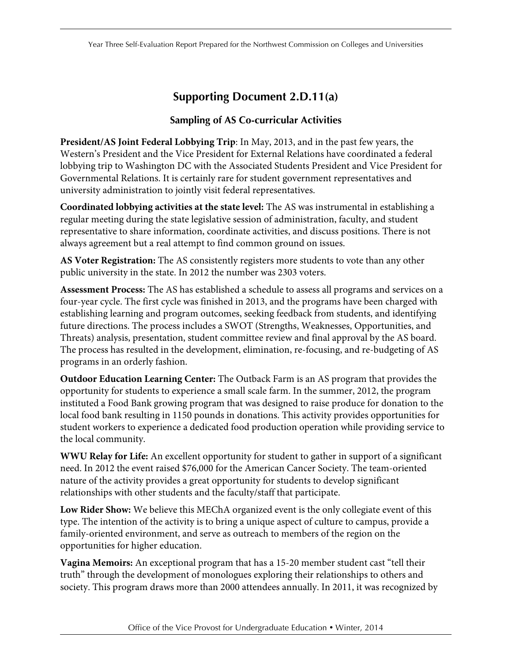## **Supporting Document 2.D.11(a)**

## **Sampling of AS Co-curricular Activities**

**President/AS Joint Federal Lobbying Trip**: In May, 2013, and in the past few years, the Western's President and the Vice President for External Relations have coordinated a federal lobbying trip to Washington DC with the Associated Students President and Vice President for Governmental Relations. It is certainly rare for student government representatives and university administration to jointly visit federal representatives.

**Coordinated lobbying activities at the state level:** The AS was instrumental in establishing a regular meeting during the state legislative session of administration, faculty, and student representative to share information, coordinate activities, and discuss positions. There is not always agreement but a real attempt to find common ground on issues.

**AS Voter Registration:** The AS consistently registers more students to vote than any other public university in the state. In 2012 the number was 2303 voters.

**Assessment Process:** The AS has established a schedule to assess all programs and services on a four-year cycle. The first cycle was finished in 2013, and the programs have been charged with establishing learning and program outcomes, seeking feedback from students, and identifying future directions. The process includes a SWOT (Strengths, Weaknesses, Opportunities, and Threats) analysis, presentation, student committee review and final approval by the AS board. The process has resulted in the development, elimination, re-focusing, and re-budgeting of AS programs in an orderly fashion.

**Outdoor Education Learning Center:** The Outback Farm is an AS program that provides the opportunity for students to experience a small scale farm. In the summer, 2012, the program instituted a Food Bank growing program that was designed to raise produce for donation to the local food bank resulting in 1150 pounds in donations. This activity provides opportunities for student workers to experience a dedicated food production operation while providing service to the local community.

**WWU Relay for Life:** An excellent opportunity for student to gather in support of a significant need. In 2012 the event raised \$76,000 for the American Cancer Society. The team-oriented nature of the activity provides a great opportunity for students to develop significant relationships with other students and the faculty/staff that participate.

**Low Rider Show:** We believe this MEChA organized event is the only collegiate event of this type. The intention of the activity is to bring a unique aspect of culture to campus, provide a family-oriented environment, and serve as outreach to members of the region on the opportunities for higher education.

**Vagina Memoirs:** An exceptional program that has a 15-20 member student cast "tell their truth" through the development of monologues exploring their relationships to others and society. This program draws more than 2000 attendees annually. In 2011, it was recognized by